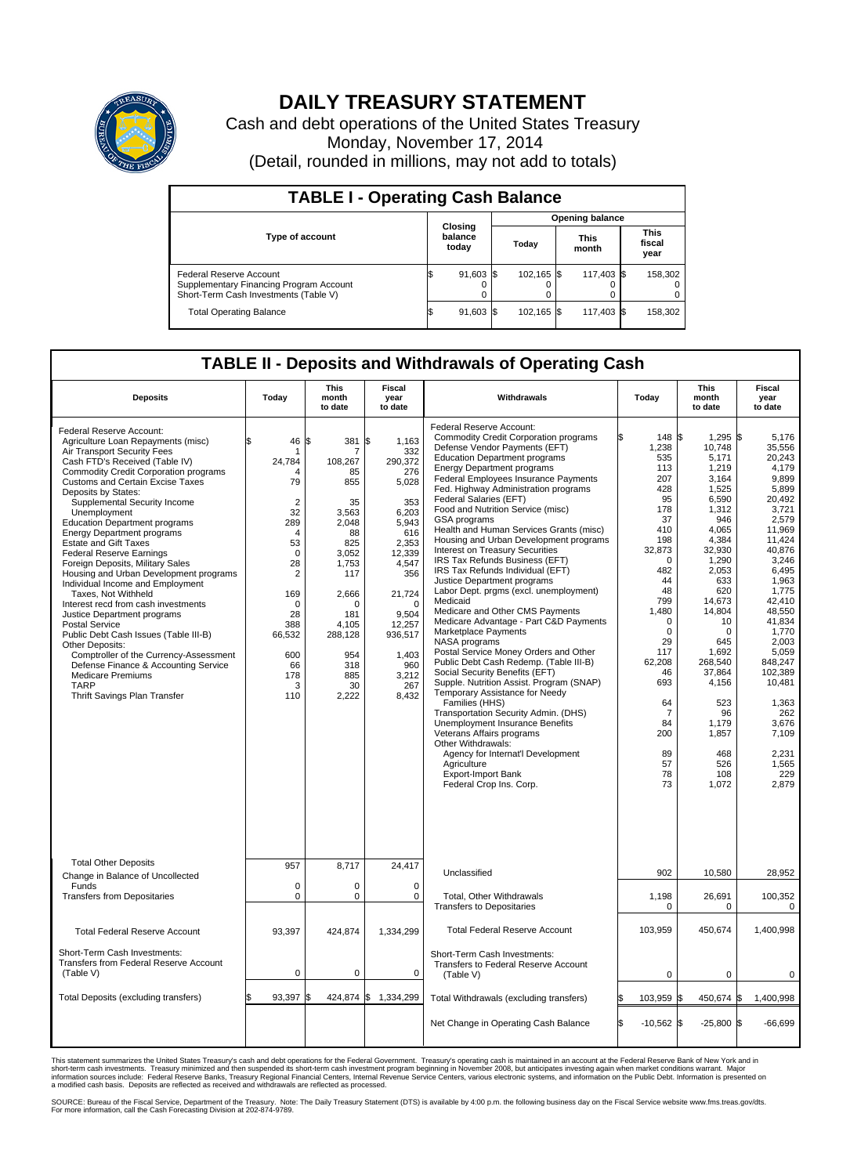

## **DAILY TREASURY STATEMENT**

Cash and debt operations of the United States Treasury Monday, November 17, 2014 (Detail, rounded in millions, may not add to totals)

| <b>TABLE I - Operating Cash Balance</b>                                                                     |  |                             |     |                        |  |                      |  |                               |  |  |  |
|-------------------------------------------------------------------------------------------------------------|--|-----------------------------|-----|------------------------|--|----------------------|--|-------------------------------|--|--|--|
|                                                                                                             |  | Closing<br>balance<br>today |     | <b>Opening balance</b> |  |                      |  |                               |  |  |  |
| <b>Type of account</b>                                                                                      |  |                             |     | Today                  |  | <b>This</b><br>month |  | <b>This</b><br>fiscal<br>year |  |  |  |
| Federal Reserve Account<br>Supplementary Financing Program Account<br>Short-Term Cash Investments (Table V) |  | 91,603                      | 1\$ | 102.165 \$             |  | 117,403 \$           |  | 158,302                       |  |  |  |
| <b>Total Operating Balance</b>                                                                              |  | $91,603$ \$                 |     | 102,165 \$             |  | 117,403 \$           |  | 158,302                       |  |  |  |

## **TABLE II - Deposits and Withdrawals of Operating Cash**

| <b>Deposits</b>                                                                                                                                                                                                                                                                                                                                                                                                                                                                                                                                                                                                                                                                                                                                                                                                                                                                                                    | Today                                                                                                                                                                                                         | <b>This</b><br>month<br>to date                                                                                                                                                     | <b>Fiscal</b><br>year<br>to date                                                                                                                                                                               | Withdrawals                                                                                                                                                                                                                                                                                                                                                                                                                                                                                                                                                                                                                                                                                                                                                                                                                                                                                                                                                                                                                                                                                                                                                                                                                          | Today                                                                                                                                                                                                                                                                         | <b>This</b><br>month<br>to date                                                                                                                                                                                                                                                         | Fiscal<br>year<br>to date                                                                                                                                                                                                                                                                                       |
|--------------------------------------------------------------------------------------------------------------------------------------------------------------------------------------------------------------------------------------------------------------------------------------------------------------------------------------------------------------------------------------------------------------------------------------------------------------------------------------------------------------------------------------------------------------------------------------------------------------------------------------------------------------------------------------------------------------------------------------------------------------------------------------------------------------------------------------------------------------------------------------------------------------------|---------------------------------------------------------------------------------------------------------------------------------------------------------------------------------------------------------------|-------------------------------------------------------------------------------------------------------------------------------------------------------------------------------------|----------------------------------------------------------------------------------------------------------------------------------------------------------------------------------------------------------------|--------------------------------------------------------------------------------------------------------------------------------------------------------------------------------------------------------------------------------------------------------------------------------------------------------------------------------------------------------------------------------------------------------------------------------------------------------------------------------------------------------------------------------------------------------------------------------------------------------------------------------------------------------------------------------------------------------------------------------------------------------------------------------------------------------------------------------------------------------------------------------------------------------------------------------------------------------------------------------------------------------------------------------------------------------------------------------------------------------------------------------------------------------------------------------------------------------------------------------------|-------------------------------------------------------------------------------------------------------------------------------------------------------------------------------------------------------------------------------------------------------------------------------|-----------------------------------------------------------------------------------------------------------------------------------------------------------------------------------------------------------------------------------------------------------------------------------------|-----------------------------------------------------------------------------------------------------------------------------------------------------------------------------------------------------------------------------------------------------------------------------------------------------------------|
| Federal Reserve Account:<br>Agriculture Loan Repayments (misc)<br>Air Transport Security Fees<br>Cash FTD's Received (Table IV)<br><b>Commodity Credit Corporation programs</b><br><b>Customs and Certain Excise Taxes</b><br>Deposits by States:<br>Supplemental Security Income<br>Unemployment<br><b>Education Department programs</b><br><b>Energy Department programs</b><br><b>Estate and Gift Taxes</b><br><b>Federal Reserve Earnings</b><br>Foreign Deposits, Military Sales<br>Housing and Urban Development programs<br>Individual Income and Employment<br>Taxes, Not Withheld<br>Interest recd from cash investments<br>Justice Department programs<br><b>Postal Service</b><br>Public Debt Cash Issues (Table III-B)<br>Other Deposits:<br>Comptroller of the Currency-Assessment<br>Defense Finance & Accounting Service<br><b>Medicare Premiums</b><br><b>TARP</b><br>Thrift Savings Plan Transfer | \$<br>46<br>1<br>24,784<br>Δ<br>79<br>$\overline{2}$<br>32<br>289<br>$\overline{4}$<br>53<br>$\mathbf 0$<br>28<br>$\overline{2}$<br>169<br>$\mathbf 0$<br>28<br>388<br>66,532<br>600<br>66<br>178<br>3<br>110 | \$<br>381<br>108,267<br>85<br>855<br>35<br>3,563<br>2,048<br>88<br>825<br>3,052<br>1,753<br>117<br>2,666<br>$\Omega$<br>181<br>4.105<br>288,128<br>954<br>318<br>885<br>30<br>2,222 | l\$<br>1.163<br>332<br>290.372<br>276<br>5,028<br>353<br>6,203<br>5,943<br>616<br>2,353<br>12,339<br>4,547<br>356<br>21,724<br>$\Omega$<br>9.504<br>12,257<br>936,517<br>1,403<br>960<br>3,212<br>267<br>8,432 | Federal Reserve Account:<br><b>Commodity Credit Corporation programs</b><br>Defense Vendor Payments (EFT)<br><b>Education Department programs</b><br><b>Energy Department programs</b><br><b>Federal Employees Insurance Payments</b><br>Fed. Highway Administration programs<br>Federal Salaries (EFT)<br>Food and Nutrition Service (misc)<br>GSA programs<br>Health and Human Services Grants (misc)<br>Housing and Urban Development programs<br>Interest on Treasury Securities<br>IRS Tax Refunds Business (EFT)<br>IRS Tax Refunds Individual (EFT)<br>Justice Department programs<br>Labor Dept. prgms (excl. unemployment)<br>Medicaid<br>Medicare and Other CMS Payments<br>Medicare Advantage - Part C&D Payments<br>Marketplace Payments<br>NASA programs<br>Postal Service Money Orders and Other<br>Public Debt Cash Redemp. (Table III-B)<br>Social Security Benefits (EFT)<br>Supple. Nutrition Assist. Program (SNAP)<br>Temporary Assistance for Needy<br>Families (HHS)<br>Transportation Security Admin. (DHS)<br>Unemployment Insurance Benefits<br>Veterans Affairs programs<br>Other Withdrawals:<br>Agency for Internat'l Development<br>Agriculture<br><b>Export-Import Bank</b><br>Federal Crop Ins. Corp. | ß.<br>148 \$<br>1,238<br>535<br>113<br>207<br>428<br>95<br>178<br>37<br>410<br>198<br>32,873<br>$\mathbf 0$<br>482<br>44<br>48<br>799<br>1,480<br>$\mathbf 0$<br>$\mathbf 0$<br>29<br>117<br>62.208<br>46<br>693<br>64<br>$\overline{7}$<br>84<br>200<br>89<br>57<br>78<br>73 | $1,295$ \$<br>10,748<br>5,171<br>1,219<br>3.164<br>1,525<br>6,590<br>1,312<br>946<br>4,065<br>4,384<br>32,930<br>1,290<br>2,053<br>633<br>620<br>14,673<br>14,804<br>10<br>0<br>645<br>1,692<br>268,540<br>37,864<br>4,156<br>523<br>96<br>1.179<br>1,857<br>468<br>526<br>108<br>1,072 | 5,176<br>35,556<br>20,243<br>4,179<br>9.899<br>5,899<br>20.492<br>3,721<br>2.579<br>11,969<br>11,424<br>40,876<br>3,246<br>6,495<br>1,963<br>1,775<br>42,410<br>48.550<br>41.834<br>1,770<br>2,003<br>5,059<br>848.247<br>102,389<br>10,481<br>1,363<br>262<br>3,676<br>7,109<br>2,231<br>1,565<br>229<br>2,879 |
| <b>Total Other Deposits</b><br>Change in Balance of Uncollected                                                                                                                                                                                                                                                                                                                                                                                                                                                                                                                                                                                                                                                                                                                                                                                                                                                    | 957                                                                                                                                                                                                           | 8,717                                                                                                                                                                               | 24,417                                                                                                                                                                                                         | Unclassified                                                                                                                                                                                                                                                                                                                                                                                                                                                                                                                                                                                                                                                                                                                                                                                                                                                                                                                                                                                                                                                                                                                                                                                                                         | 902                                                                                                                                                                                                                                                                           | 10,580                                                                                                                                                                                                                                                                                  | 28,952                                                                                                                                                                                                                                                                                                          |
| Funds<br><b>Transfers from Depositaries</b>                                                                                                                                                                                                                                                                                                                                                                                                                                                                                                                                                                                                                                                                                                                                                                                                                                                                        | $\mathbf 0$<br>$\mathbf 0$                                                                                                                                                                                    | 0<br>0                                                                                                                                                                              | $\mathbf 0$<br>$\mathbf 0$                                                                                                                                                                                     | Total, Other Withdrawals<br><b>Transfers to Depositaries</b>                                                                                                                                                                                                                                                                                                                                                                                                                                                                                                                                                                                                                                                                                                                                                                                                                                                                                                                                                                                                                                                                                                                                                                         | 1,198<br>$\mathbf 0$                                                                                                                                                                                                                                                          | 26,691<br>$\Omega$                                                                                                                                                                                                                                                                      | 100,352<br>0                                                                                                                                                                                                                                                                                                    |
| <b>Total Federal Reserve Account</b>                                                                                                                                                                                                                                                                                                                                                                                                                                                                                                                                                                                                                                                                                                                                                                                                                                                                               | 93,397                                                                                                                                                                                                        | 424,874                                                                                                                                                                             | 1,334,299                                                                                                                                                                                                      | <b>Total Federal Reserve Account</b>                                                                                                                                                                                                                                                                                                                                                                                                                                                                                                                                                                                                                                                                                                                                                                                                                                                                                                                                                                                                                                                                                                                                                                                                 | 103,959                                                                                                                                                                                                                                                                       | 450,674                                                                                                                                                                                                                                                                                 | 1,400,998                                                                                                                                                                                                                                                                                                       |
| Short-Term Cash Investments:<br><b>Transfers from Federal Reserve Account</b><br>(Table V)                                                                                                                                                                                                                                                                                                                                                                                                                                                                                                                                                                                                                                                                                                                                                                                                                         | $\mathbf 0$                                                                                                                                                                                                   | 0                                                                                                                                                                                   | $\mathbf 0$                                                                                                                                                                                                    | Short-Term Cash Investments:<br>Transfers to Federal Reserve Account<br>(Table V)                                                                                                                                                                                                                                                                                                                                                                                                                                                                                                                                                                                                                                                                                                                                                                                                                                                                                                                                                                                                                                                                                                                                                    | $\mathbf 0$                                                                                                                                                                                                                                                                   | 0                                                                                                                                                                                                                                                                                       | 0                                                                                                                                                                                                                                                                                                               |
| Total Deposits (excluding transfers)                                                                                                                                                                                                                                                                                                                                                                                                                                                                                                                                                                                                                                                                                                                                                                                                                                                                               | 93,397                                                                                                                                                                                                        | \$                                                                                                                                                                                  | 424,874 \$ 1,334,299                                                                                                                                                                                           | Total Withdrawals (excluding transfers)                                                                                                                                                                                                                                                                                                                                                                                                                                                                                                                                                                                                                                                                                                                                                                                                                                                                                                                                                                                                                                                                                                                                                                                              | 103,959 \$<br>l\$                                                                                                                                                                                                                                                             | 450,674 \$                                                                                                                                                                                                                                                                              | 1,400,998                                                                                                                                                                                                                                                                                                       |
|                                                                                                                                                                                                                                                                                                                                                                                                                                                                                                                                                                                                                                                                                                                                                                                                                                                                                                                    |                                                                                                                                                                                                               |                                                                                                                                                                                     |                                                                                                                                                                                                                | Net Change in Operating Cash Balance                                                                                                                                                                                                                                                                                                                                                                                                                                                                                                                                                                                                                                                                                                                                                                                                                                                                                                                                                                                                                                                                                                                                                                                                 | Ŝ.<br>$-10,562$ \$                                                                                                                                                                                                                                                            | $-25,800$ \$                                                                                                                                                                                                                                                                            | $-66,699$                                                                                                                                                                                                                                                                                                       |

This statement summarizes the United States Treasury's cash and debt operations for the Federal Government. Treasury's operating cash is maintained in an account at the Federal Reserve Bank of New York and in<br>short-term ca

SOURCE: Bureau of the Fiscal Service, Department of the Treasury. Note: The Daily Treasury Statement (DTS) is available by 4:00 p.m. the following business day on the Fiscal Service website www.fms.treas.gov/dts.<br>For more